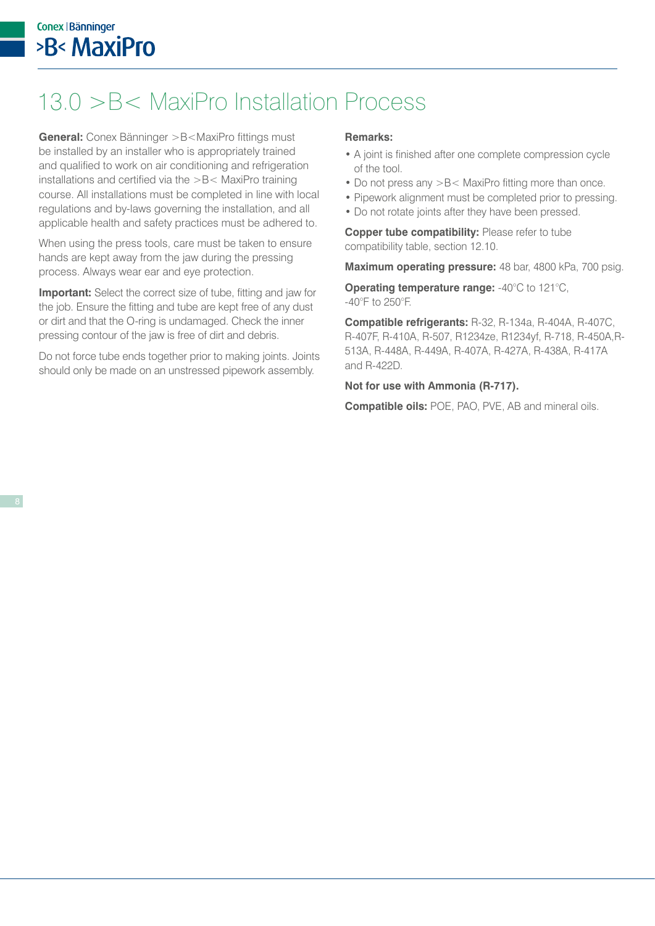Join the Press Revolution

## 13.0 >B< MaxiPro Installation Process

**General:** Conex Bänninger >B<MaxiPro fittings must be installed by an installer who is appropriately trained and qualified to work on air conditioning and refrigeration installations and certified via the >B< MaxiPro training course. All installations must be completed in line with local regulations and by-laws governing the installation, and all applicable health and safety practices must be adhered to.

When using the press tools, care must be taken to ensure hands are kept away from the jaw during the pressing process. Always wear ear and eye protection.

**Important:** Select the correct size of tube, fitting and jaw for the job. Ensure the fitting and tube are kept free of any dust or dirt and that the O-ring is undamaged. Check the inner pressing contour of the jaw is free of dirt and debris.

Do not force tube ends together prior to making joints. Joints should only be made on an unstressed pipework assembly.

## **Remarks:**

- A joint is finished after one complete compression cycle of the tool.
- Do not press any >B< MaxiPro fitting more than once.
- Pipework alignment must be completed prior to pressing.
- Do not rotate joints after they have been pressed.

**Copper tube compatibility: Please refer to tube** compatibility table, section 12.10.

**Maximum operating pressure:** 48 bar, 4800 kPa, 700 psig.

**Operating temperature range:** -40°C to 121°C, -40°F to 250°F.

**Compatible refrigerants:** R-32, R-134a, R-404A, R-407C, R-407F, R-410A, R-507, R1234ze, R1234yf, R-718, R-450A,R-513A, R-448A, R-449A, R-407A, R-427A, R-438A, R-417A and R-422D.

## **Not for use with Ammonia (R-717).**

**Compatible oils:** POE, PAO, PVE, AB and mineral oils.